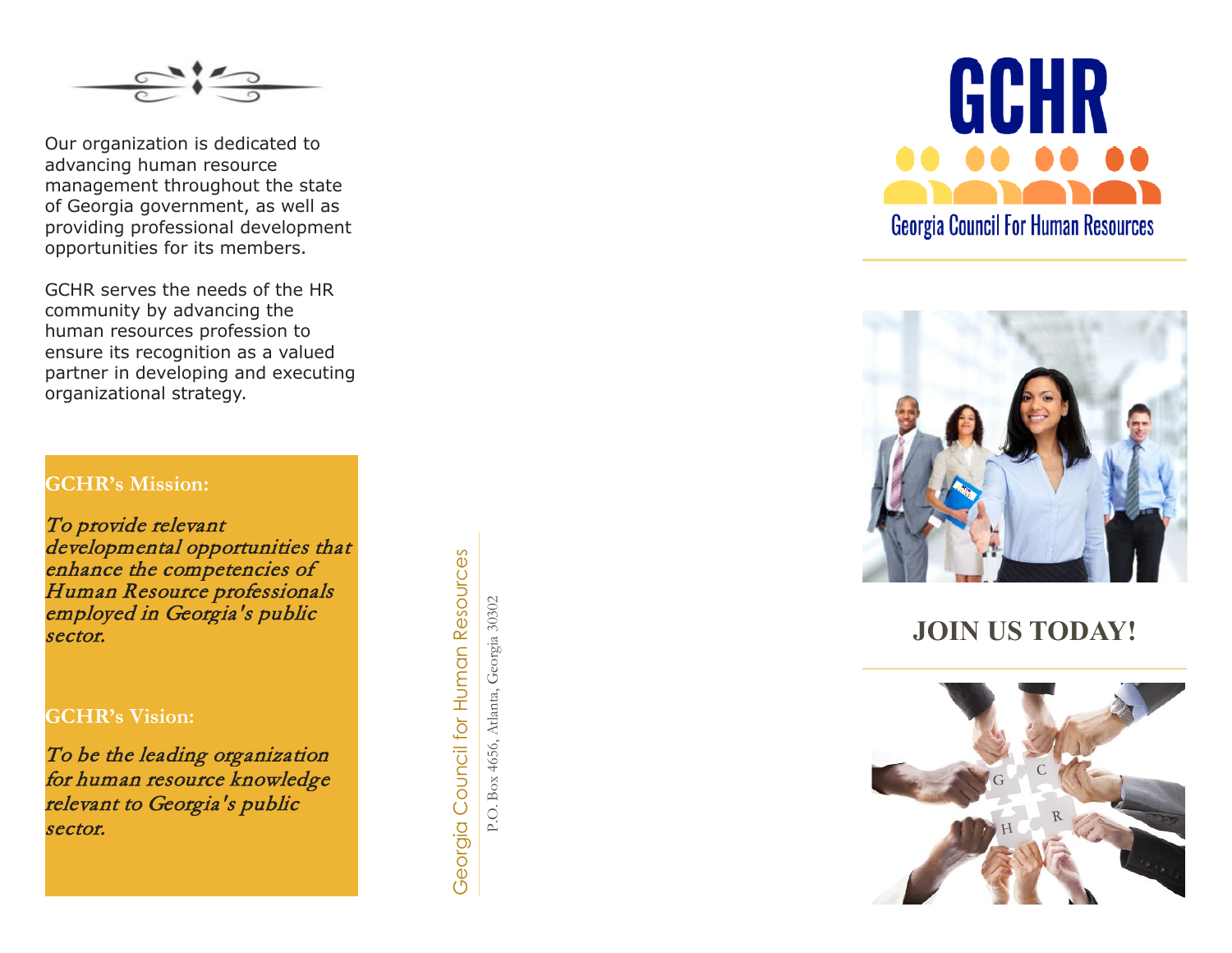

Our organization is dedicated to advancing human resource management throughout the state of Georgia government, as well as providing professional development opportunities for its members.

GCHR serves the needs of the HR community by advancing the human resources profession to ensure its recognition as a valued partner in developing and executing organizational strategy.

### **GCHR's Mission:**

To provide relevant developmental opportunities that enhance the competencies of Human Resource professionals employed in Georgia's public sector.

### **GCHR's Vision:**

To be the leading organization for human resource knowledge relevant to Georgia's public sector.

Georgia Council for Human Resources Georgia Council for Human Resources

P.O. Box 4656, Atlanta, Georgia 30302 P.O. Box 4656, Atlanta, Georgia 30302





**JOIN US TODAY!**